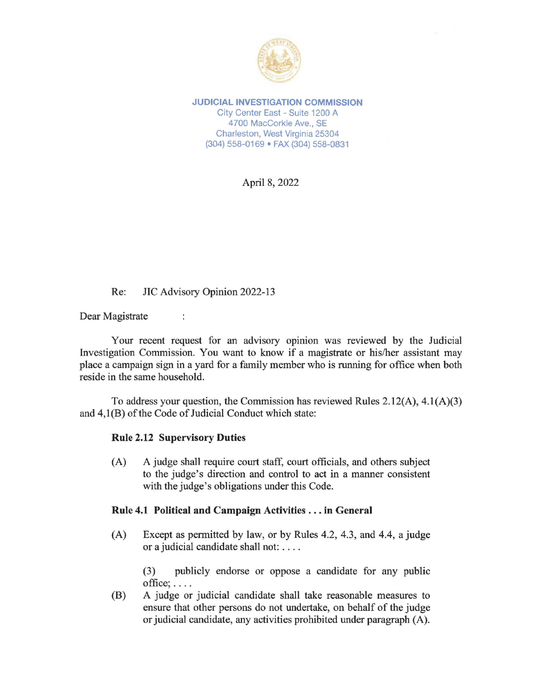

**JUDICIAL INVESTIGATION COMMISSION**  City Center East - Suite 1200 A 4700 MacCorkle Ave., SE Charleston, West Virginia 25304 (304) 558-0169 • FAX (304) 558-0831

April 8, 2022

## Re: JIC Advisory Opinion 2022-13

÷

Dear Magistrate

Your recent request for an advisory opinion was reviewed by the Judicial Investigation Commission. You want to know if a magistrate or his/her assistant may place a campaign sign in a yard for a family member who is running for office when both reside in the same household.

To address your question, the Commission has reviewed Rules 2.12(A), 4.l(A)(3) and 4,l(B) of the Code of Judicial Conduct which state:

## **Rule 2.12 Supervisory Duties**

(A) A judge shall require court staff, court officials, and others subject to the judge's direction and control to act in a manner consistent with the judge's obligations under this Code.

## **Rule 4.1 Political and Campaign Activities** ... **in General**

(A) Except as permitted by law, or by Rules 4.2, 4.3, and 4.4, a judge or a judicial candidate shall not: ....

> (3) publicly endorse or oppose a candidate for any public  $of$ fice;  $\dots$ .

(B) A judge or judicial candidate shall take reasonable measures to ensure that other persons do not undertake, on behalf of the judge or judicial candidate, any activities prohibited under paragraph (A).